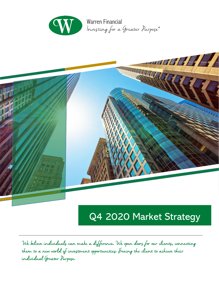

**Warren Financial** Investing for a Greater Purpose®



# Q4 2020 Market Strategy

We believe individuals can make a difference**.** We open doors for our clients**,** connecting them to a new world of investment opportunities**.** Freeing the client to achieve their individual Greater Purpose**.**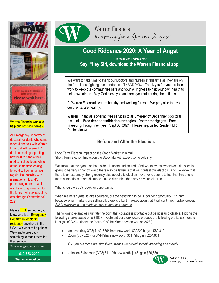





Warren Financial wants to help our front-line heroes:

All Emergency Department doctoral residents who come forward and talk with Warren Financial will receive FREE debt counseling regarding how best to handle their medical school loans while at the same time looking forward to beginning their regular life, possibly with marriage/family and/or purchasing a home, while also balancing investing for the future. All services at no cost through September 30, 2021.

Please **TELL** someone you know who is an **Emergency** Department doctor in residency anywhere in the USA. We want to help them. We want to give back something to thank them for their service.

7 Dowlin Forge Rd Exton PA 19341

610-363-2000

**WarrenFinancial.com**



# **Warren Financial** Investing for a Greater Purpose®

# **Good Riddance 2020: A Year of Angst**

**Get the latest updates fast, Say, "Hey Siri, download the Warren Financial app"**

We want to take time to thank our Doctors and Nurses at this time as they are on the front lines, fighting this pandemic – THANK YOU. Thank you for your tireless work to keep our communities safe and your willingness to risk your own health to help save others. May God bless you and keep you safe during these times.

At Warren Financial, we are healthy and working for you. We pray also that you, our clients, are healthy.

Warren Financial is offering free services to all Emergency Department doctoral residents: **Free debt consolidation strategies**. **Doctor mortgages**. **Free investing** through next year, Sept 30, 2021. Please help us let Resident ER Doctors know.

### **Before and After the Election:**

Long Term Election Impact on the Stock Market: minimal Short Term Election Impact on the Stock Market: expect some volatility

We know that everyone, on both sides, is upset and scared. And we know that whatever side loses is going to be very unhappy – and there may be lawsuits that will contest this election. And we know that there is an extremely strong recency bias about this election – everyone seems to feel that this one is more contentious, more distruptive, more distrubing than any previous election.

What should we do? Look for opportunity.

When markets gyrate, it takes courage, but the best thing to do is look for opportunity. It's hard, because when markets are selling off, there is a built in expectation that it will continue, maybe forever. *But in every case, the markets have come back stronger*.

The following examples illustrate the point that courage is profitable but panic is unprofitable. Picking the following stocks based on a \$100k investment per stock would produce the following profits six months later (as of 9/23): (Note the "bottom" of the March swoon was on 3/23.)

- Amazon (buy 3/23) for \$1676/share now worth \$3022/sh, gain \$80,310
- Zoom (buy 3/23) for \$144/share now worth \$511/sh, gain \$254,861

*Ok, yea but those are high flyers, what if we picked something boring and steady*

• Johnson & Johnson (3/23) \$111/sh now worth \$145, gain \$30,630



Warren Financial Investing for a Greater Purpose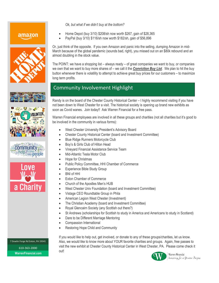*Ok, but what if we didn't buy at the bottom?*

### amazon











### • Home Depot (buy 3/10) \$208/sh now worth \$267, gain of \$28,365

• PayPal (buy 3/10) \$116/sh now worth \$182/sh, gain of \$56,896

Or, just think of the opposite. If you own Amazon and panic into the selling, dumping Amazon in mid-March because of the global pandemic (sounds bad, right), you missed out on an \$80k rebound and an almost doubling in the stock value.

The POINT: we have a shopping list – always ready – of great companies we want to buy, or companies we own that we want to buy more shares of – we call it the *Conviction Buy List*. We plan to hit the buy button whenever there is volatility to attempt to achieve great buy prices for our customers – to maximize long term profits.

## Community Involvement Highlight

Randy is on the board of the Chester County Historical Center – I highly recommend visiting if you have not been down to West Chester for a visit. The historical society is opening up brand new exhibits as soon as Covid wanes. Join today!! Ask Warren Financial for a free pass.

Warren Financial employees are involved in all these groups and charities (not all charities but it's good to be involved in the community in various forms):

- West Chester University President's Advisory Board
- Chester County Historical Center (board and Investment Committee)
- Blue Ridge Runners Motorcycle Club
- Boy's & Girls Club of Hilton Head
- Vineyard Financial Assistance Service Team
- Mid-Atlantic Tesla Motor Club
- Hope for Christmas
- Public Policy Committee, HHI Chamber of Commerce
- Experience Bible Study Group
- BNI of HHI
- **Exton Chamber of Commerce**
- Church of the Apostles Men's HUB
- West Chester Univ Foundation (board and Investment Committee)
- Vistage CEO Roundtable Group in Phila
- American Legion West Chester (Investment)
- The Christian Academy (board and Investment Committee)
- Royal Glencairn Society (any Scottish out there?)
- St Andrews (scholarships for Scottish to study in America and Americans to study in Scotland)
- Dare to be Different Marriage Mentoring
- Compassion International
- Restoring Hope Child and Community

7 Dowlin Forge Rd Exton, PA 19341 610-363-2000 **WarrenFinancial.com** out!

If you would like to help out, get involved, or donate to any of these groups/charities, let us know. Also, we would like to know more about YOUR favorite charities and groups. Again, free passes to visit the new exhibit at Chester County Historical Center in West Chester, PA. Please come check it



Warren Financial Investing for a Greater Purpose